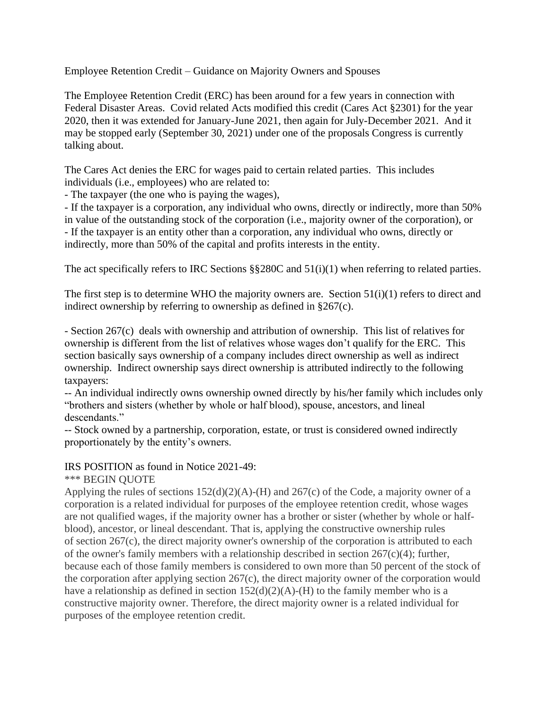Employee Retention Credit – Guidance on Majority Owners and Spouses

The Employee Retention Credit (ERC) has been around for a few years in connection with Federal Disaster Areas. Covid related Acts modified this credit (Cares Act §2301) for the year 2020, then it was extended for January-June 2021, then again for July-December 2021. And it may be stopped early (September 30, 2021) under one of the proposals Congress is currently talking about.

The Cares Act denies the ERC for wages paid to certain related parties. This includes individuals (i.e., employees) who are related to:

- The taxpayer (the one who is paying the wages),

- If the taxpayer is a corporation, any individual who owns, directly or indirectly, more than 50% in value of the outstanding stock of the corporation (i.e., majority owner of the corporation), or - If the taxpayer is an entity other than a corporation, any individual who owns, directly or indirectly, more than 50% of the capital and profits interests in the entity.

The act specifically refers to IRC Sections  $\S$ §280C and  $51(i)(1)$  when referring to related parties.

The first step is to determine WHO the majority owners are. Section 51(i)(1) refers to direct and indirect ownership by referring to ownership as defined in §267(c).

- Section 267(c) deals with ownership and attribution of ownership. This list of relatives for ownership is different from the list of relatives whose wages don't qualify for the ERC. This section basically says ownership of a company includes direct ownership as well as indirect ownership. Indirect ownership says direct ownership is attributed indirectly to the following taxpayers:

-- An individual indirectly owns ownership owned directly by his/her family which includes only "brothers and sisters (whether by whole or half blood), spouse, ancestors, and lineal descendants."

-- Stock owned by a partnership, corporation, estate, or trust is considered owned indirectly proportionately by the entity's owners.

## IRS POSITION as found in Notice 2021-49:

\*\*\* BEGIN QUOTE

Applying the rules of sections  $152(d)(2)(A)$ -(H) and  $267(c)$  of the Code, a majority owner of a corporation is a related individual for purposes of the employee retention credit, whose wages are not qualified wages, if the majority owner has a brother or sister (whether by whole or halfblood), ancestor, or lineal descendant. That is, applying the constructive ownership rules of section 267(c), the direct majority owner's ownership of the corporation is attributed to each of the owner's family members with a relationship described in section 267(c)(4); further, because each of those family members is considered to own more than 50 percent of the stock of the corporation after applying section 267(c), the direct majority owner of the corporation would have a relationship as defined in section  $152(d)(2)(A)$ -(H) to the family member who is a constructive majority owner. Therefore, the direct majority owner is a related individual for purposes of the employee retention credit.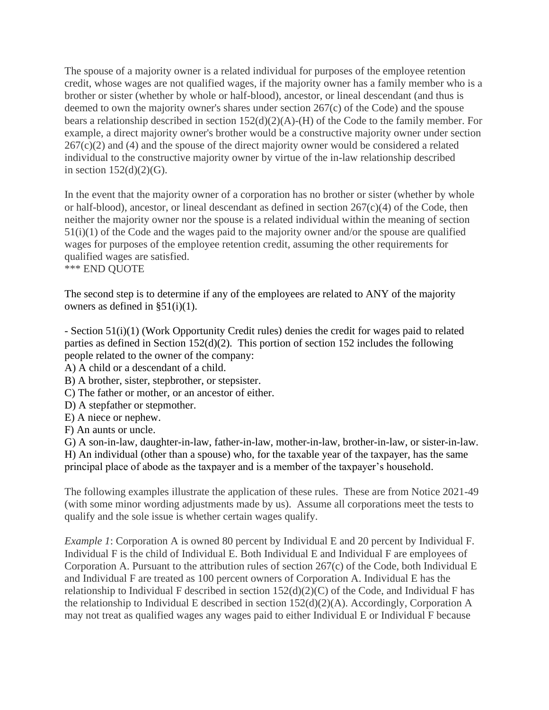The spouse of a majority owner is a related individual for purposes of the employee retention credit, whose wages are not qualified wages, if the majority owner has a family member who is a brother or sister (whether by whole or half-blood), ancestor, or lineal descendant (and thus is deemed to own the majority owner's shares under section 267(c) of the Code) and the spouse bears a relationship described in section 152(d)(2)(A)-(H) of the Code to the family member. For example, a direct majority owner's brother would be a constructive majority owner under section  $267(c)(2)$  and (4) and the spouse of the direct majority owner would be considered a related individual to the constructive majority owner by virtue of the in-law relationship described in section  $152(d)(2)(G)$ .

In the event that the majority owner of a corporation has no brother or sister (whether by whole or half-blood), ancestor, or lineal descendant as defined in section  $267(c)(4)$  of the Code, then neither the majority owner nor the spouse is a related individual within the meaning of section 51(i)(1) of the Code and the wages paid to the majority owner and/or the spouse are qualified wages for purposes of the employee retention credit, assuming the other requirements for qualified wages are satisfied. \*\*\* END QUOTE

The second step is to determine if any of the employees are related to ANY of the majority owners as defined in  $\S51(i)(1)$ .

- Section 51(i)(1) (Work Opportunity Credit rules) denies the credit for wages paid to related parties as defined in Section 152(d)(2). This portion of section 152 includes the following people related to the owner of the company:

A) A child or a descendant of a child.

B) A brother, sister, stepbrother, or stepsister.

C) The father or mother, or an ancestor of either.

D) A stepfather or stepmother.

E) A niece or nephew.

F) An aunts or uncle.

G) A son-in-law, daughter-in-law, father-in-law, mother-in-law, brother-in-law, or sister-in-law. H) An individual (other than a spouse) who, for the taxable year of the taxpayer, has the same principal place of abode as the taxpayer and is a member of the taxpayer's household.

The following examples illustrate the application of these rules. These are from Notice 2021-49 (with some minor wording adjustments made by us). Assume all corporations meet the tests to qualify and the sole issue is whether certain wages qualify.

*Example 1*: Corporation A is owned 80 percent by Individual E and 20 percent by Individual F. Individual F is the child of Individual E. Both Individual E and Individual F are employees of Corporation A. Pursuant to the attribution rules of section 267(c) of the Code, both Individual E and Individual F are treated as 100 percent owners of Corporation A. Individual E has the relationship to Individual F described in section  $152(d)(2)(C)$  of the Code, and Individual F has the relationship to Individual E described in section 152(d)(2)(A). Accordingly, Corporation A may not treat as qualified wages any wages paid to either Individual E or Individual F because